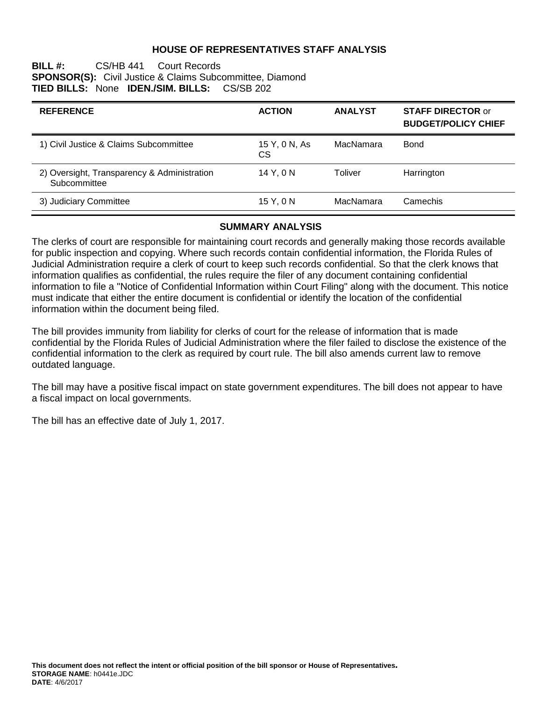### **HOUSE OF REPRESENTATIVES STAFF ANALYSIS**

#### **BILL #:** CS/HB 441 Court Records **SPONSOR(S):** Civil Justice & Claims Subcommittee, Diamond **TIED BILLS:** None **IDEN./SIM. BILLS:** CS/SB 202

| <b>REFERENCE</b>                                            | <b>ACTION</b>       | <b>ANALYST</b> | <b>STAFF DIRECTOR or</b><br><b>BUDGET/POLICY CHIEF</b> |
|-------------------------------------------------------------|---------------------|----------------|--------------------------------------------------------|
| 1) Civil Justice & Claims Subcommittee                      | 15 Y, 0 N, As<br>CS | MacNamara      | <b>Bond</b>                                            |
| 2) Oversight, Transparency & Administration<br>Subcommittee | 14 Y, 0 N           | Toliver        | Harrington                                             |
| 3) Judiciary Committee                                      | 15 Y, 0 N           | MacNamara      | Camechis                                               |

#### **SUMMARY ANALYSIS**

The clerks of court are responsible for maintaining court records and generally making those records available for public inspection and copying. Where such records contain confidential information, the Florida Rules of Judicial Administration require a clerk of court to keep such records confidential. So that the clerk knows that information qualifies as confidential, the rules require the filer of any document containing confidential information to file a "Notice of Confidential Information within Court Filing" along with the document. This notice must indicate that either the entire document is confidential or identify the location of the confidential information within the document being filed.

The bill provides immunity from liability for clerks of court for the release of information that is made confidential by the Florida Rules of Judicial Administration where the filer failed to disclose the existence of the confidential information to the clerk as required by court rule. The bill also amends current law to remove outdated language.

The bill may have a positive fiscal impact on state government expenditures. The bill does not appear to have a fiscal impact on local governments.

The bill has an effective date of July 1, 2017.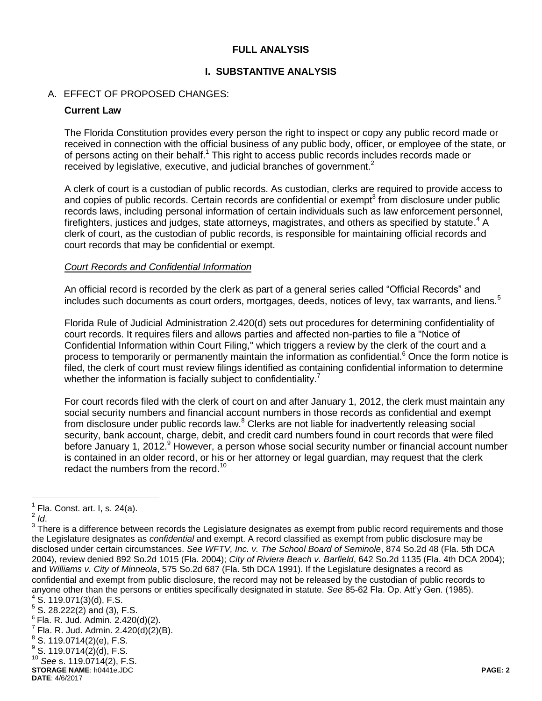### **FULL ANALYSIS**

### **I. SUBSTANTIVE ANALYSIS**

### A. EFFECT OF PROPOSED CHANGES:

#### **Current Law**

The Florida Constitution provides every person the right to inspect or copy any public record made or received in connection with the official business of any public body, officer, or employee of the state, or of persons acting on their behalf.<sup>1</sup> This right to access public records includes records made or received by legislative, executive, and judicial branches of government.<sup>2</sup>

A clerk of court is a custodian of public records. As custodian, clerks are required to provide access to and copies of public records. Certain records are confidential or exempt<sup>3</sup> from disclosure under public records laws, including personal information of certain individuals such as law enforcement personnel, firefighters, justices and judges, state attorneys, magistrates, and others as specified by statute.<sup>4</sup> A clerk of court, as the custodian of public records, is responsible for maintaining official records and court records that may be confidential or exempt.

#### *Court Records and Confidential Information*

An official record is recorded by the clerk as part of a general series called "Official Records" and includes such documents as court orders, mortgages, deeds, notices of levy, tax warrants, and liens.<sup>5</sup>

Florida Rule of Judicial Administration 2.420(d) sets out procedures for determining confidentiality of court records. It requires filers and allows parties and affected non-parties to file a "Notice of Confidential Information within Court Filing," which triggers a review by the clerk of the court and a process to temporarily or permanently maintain the information as confidential.<sup>6</sup> Once the form notice is filed, the clerk of court must review filings identified as containing confidential information to determine whether the information is facially subject to confidentiality.<sup>7</sup>

For court records filed with the clerk of court on and after January 1, 2012, the clerk must maintain any social security numbers and financial account numbers in those records as confidential and exempt from disclosure under public records law.<sup>8</sup> Clerks are not liable for inadvertently releasing social security, bank account, charge, debit, and credit card numbers found in court records that were filed before January 1, 2012.<sup>9</sup> However, a person whose social security number or financial account number is contained in an older record, or his or her attorney or legal guardian, may request that the clerk redact the numbers from the record.<sup>10</sup>

 $\overline{a}$ 

**STORAGE NAME**: h0441e.JDC **PAGE: 2** <sup>10</sup> *See* s. 119.0714(2), F.S.

 $<sup>1</sup>$  Fla. Const. art. I, s. 24(a).</sup>

<sup>2</sup> *Id*.

 $3$  There is a difference between records the Legislature designates as exempt from public record requirements and those the Legislature designates as *confidential* and exempt. A record classified as exempt from public disclosure may be disclosed under certain circumstances. *See WFTV, Inc. v. The School Board of Seminole*, 874 So.2d 48 (Fla. 5th DCA 2004), review denied 892 So.2d 1015 (Fla. 2004); *City of Riviera Beach v. Barfield*, 642 So.2d 1135 (Fla. 4th DCA 2004); and *Williams v. City of Minneola*, 575 So.2d 687 (Fla. 5th DCA 1991). If the Legislature designates a record as confidential and exempt from public disclosure, the record may not be released by the custodian of public records to anyone other than the persons or entities specifically designated in statute. *See* 85-62 Fla. Op. Att'y Gen. (1985).

 $4$  S. 119.071(3)(d), F.S.

 $5$  S. 28.222(2) and (3), F.S.

 $6$  Fla. R. Jud. Admin. 2.420(d)(2).

 $^7$  Fla. R. Jud. Admin. 2.420(d)(2)(B).

 $^8$  S. 119.0714(2)(e), F.S.

 $^{9}$  S. 119.0714(2)(d), F.S.

**DATE**: 4/6/2017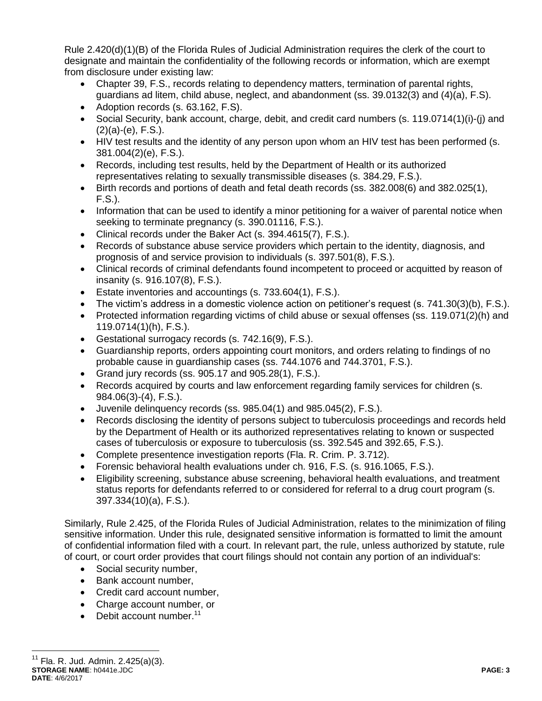Rule 2.420(d)(1)(B) of the Florida Rules of Judicial Administration requires the clerk of the court to designate and maintain the confidentiality of the following records or information, which are exempt from disclosure under existing law:

- Chapter 39, F.S., records relating to dependency matters, termination of parental rights, guardians ad litem, child abuse, neglect, and abandonment (ss. 39.0132(3) and (4)(a), F.S).
- Adoption records (s. 63.162, F.S).
- Social Security, bank account, charge, debit, and credit card numbers (s. 119.0714(1)(i)-(j) and  $(2)(a)-(e)$ , F.S.).
- HIV test results and the identity of any person upon whom an HIV test has been performed (s. 381.004(2)(e), F.S.).
- Records, including test results, held by the Department of Health or its authorized representatives relating to sexually transmissible diseases (s. 384.29, F.S.).
- Birth records and portions of death and fetal death records (ss. 382.008(6) and 382.025(1), F.S.).
- Information that can be used to identify a minor petitioning for a waiver of parental notice when seeking to terminate pregnancy (s. 390.01116, F.S.).
- Clinical records under the Baker Act (s. 394.4615(7), F.S.).
- Records of substance abuse service providers which pertain to the identity, diagnosis, and prognosis of and service provision to individuals (s. 397.501(8), F.S.).
- Clinical records of criminal defendants found incompetent to proceed or acquitted by reason of insanity (s. 916.107(8), F.S.).
- Estate inventories and accountings (s. 733.604(1), F.S.).
- The victim's address in a domestic violence action on petitioner's request (s. 741.30(3)(b), F.S.).
- Protected information regarding victims of child abuse or sexual offenses (ss. 119.071(2)(h) and 119.0714(1)(h), F.S.).
- Gestational surrogacy records (s. 742.16(9), F.S.).
- Guardianship reports, orders appointing court monitors, and orders relating to findings of no probable cause in guardianship cases (ss. 744.1076 and 744.3701, F.S.).
- Grand jury records (ss.  $905.17$  and  $905.28(1)$ , F.S.).
- Records acquired by courts and law enforcement regarding family services for children (s. 984.06(3)-(4), F.S.).
- Juvenile delinquency records (ss. 985.04(1) and 985.045(2), F.S.).
- Records disclosing the identity of persons subject to tuberculosis proceedings and records held by the Department of Health or its authorized representatives relating to known or suspected cases of tuberculosis or exposure to tuberculosis (ss. 392.545 and 392.65, F.S.).
- Complete presentence investigation reports (Fla. R. Crim. P. 3.712).
- Forensic behavioral health evaluations under ch. 916, F.S. (s. 916.1065, F.S.).
- Eligibility screening, substance abuse screening, behavioral health evaluations, and treatment status reports for defendants referred to or considered for referral to a drug court program (s. 397.334(10)(a), F.S.).

Similarly, Rule 2.425, of the Florida Rules of Judicial Administration, relates to the minimization of filing sensitive information. Under this rule, designated sensitive information is formatted to limit the amount of confidential information filed with a court. In relevant part, the rule, unless authorized by statute, rule of court, or court order provides that court filings should not contain any portion of an individual's:

- Social security number,
- Bank account number,
- Credit card account number,
- Charge account number, or
- $\bullet$  Debit account number.<sup>11</sup>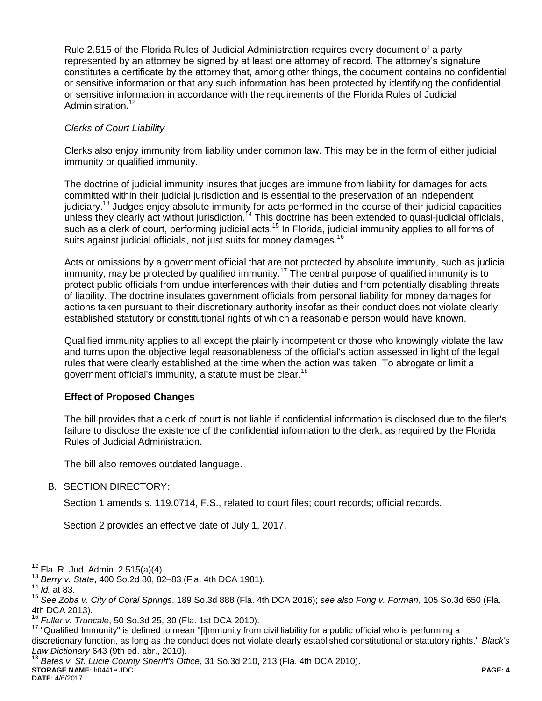Rule 2.515 of the Florida Rules of Judicial Administration requires every document of a party represented by an attorney be signed by at least one attorney of record. The attorney's signature constitutes a certificate by the attorney that, among other things, the document contains no confidential or sensitive information or that any such information has been protected by identifying the confidential or sensitive information in accordance with the requirements of the Florida Rules of Judicial Administration.<sup>12</sup>

# *Clerks of Court Liability*

Clerks also enjoy immunity from liability under common law. This may be in the form of either judicial immunity or qualified immunity.

The doctrine of judicial immunity insures that judges are immune from liability for damages for acts committed within their judicial jurisdiction and is essential to the preservation of an independent judiciary.<sup>13</sup> Judges enjoy absolute immunity for acts performed in the course of their judicial capacities unless they clearly act without jurisdiction.<sup>14</sup> This doctrine has been extended to quasi-judicial officials, such as a clerk of court, performing judicial acts.<sup>15</sup> In Florida, judicial immunity applies to all forms of suits against judicial officials, not just suits for money damages.<sup>16</sup>

Acts or omissions by a government official that are not protected by absolute immunity, such as judicial immunity, may be protected by qualified immunity.<sup>17</sup> The central purpose of qualified immunity is to protect public officials from undue interferences with their duties and from potentially disabling threats of liability. The doctrine insulates government officials from personal liability for money damages for actions taken pursuant to their discretionary authority insofar as their conduct does not violate clearly established statutory or constitutional rights of which a reasonable person would have known.

Qualified immunity applies to all except the plainly incompetent or those who knowingly violate the law and turns upon the objective legal reasonableness of the official's action assessed in light of the legal rules that were clearly established at the time when the action was taken. To abrogate or limit a government official's immunity, a statute must be clear.<sup>18</sup>

## **Effect of Proposed Changes**

The bill provides that a clerk of court is not liable if confidential information is disclosed due to the filer's failure to disclose the existence of the confidential information to the clerk, as required by the Florida Rules of Judicial Administration.

The bill also removes outdated language.

# B. SECTION DIRECTORY:

Section 1 amends s. 119.0714, F.S., related to court files; court records; official records.

Section 2 provides an effective date of July 1, 2017.

 $\overline{a}$ 

<sup>17</sup> "Qualified Immunity" is defined to mean "[i]mmunity from civil liability for a public official who is performing a discretionary function, as long as the conduct does not violate clearly established constitutional or statutory rights." *Black's Law Dictionary* 643 (9th ed. abr., 2010).

**STORAGE NAME**: h0441e.JDC **PAGE: 4** <sup>18</sup> *Bates v. St. Lucie County Sheriff's Office*, 31 So.3d 210, 213 (Fla. 4th DCA 2010).

**DATE**: 4/6/2017

 $12$  Fla. R. Jud. Admin. 2.515(a)(4).

<sup>13</sup> *Berry v. State*, 400 So.2d 80, 82–83 (Fla. 4th DCA 1981).

<sup>14</sup> *Id.* at 83.

<sup>15</sup> *See Zoba v. City of Coral Springs*, 189 So.3d 888 (Fla. 4th DCA 2016); *see also Fong v. Forman*, 105 So.3d 650 (Fla. 4th DCA 2013).

<sup>16</sup> *Fuller v. Truncale*, 50 So.3d 25, 30 (Fla. 1st DCA 2010).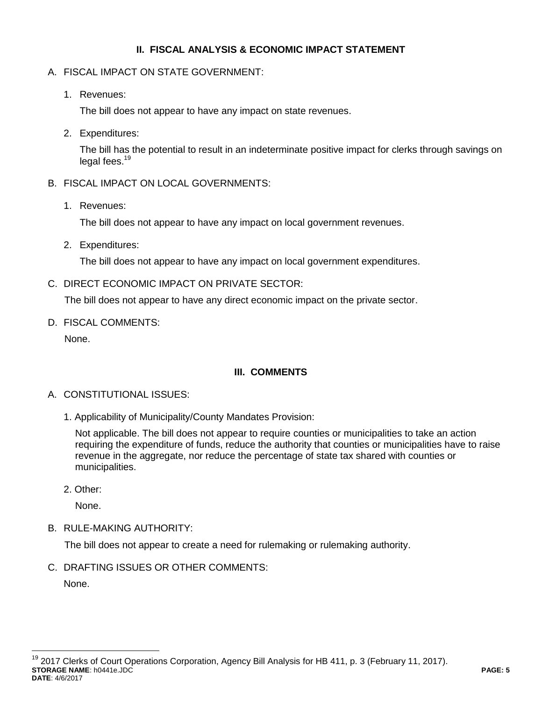## **II. FISCAL ANALYSIS & ECONOMIC IMPACT STATEMENT**

- A. FISCAL IMPACT ON STATE GOVERNMENT:
	- 1. Revenues:

The bill does not appear to have any impact on state revenues.

2. Expenditures:

The bill has the potential to result in an indeterminate positive impact for clerks through savings on legal fees.<sup>19</sup>

- B. FISCAL IMPACT ON LOCAL GOVERNMENTS:
	- 1. Revenues:

The bill does not appear to have any impact on local government revenues.

2. Expenditures:

The bill does not appear to have any impact on local government expenditures.

C. DIRECT ECONOMIC IMPACT ON PRIVATE SECTOR:

The bill does not appear to have any direct economic impact on the private sector.

D. FISCAL COMMENTS:

None.

# **III. COMMENTS**

## A. CONSTITUTIONAL ISSUES:

1. Applicability of Municipality/County Mandates Provision:

Not applicable. The bill does not appear to require counties or municipalities to take an action requiring the expenditure of funds, reduce the authority that counties or municipalities have to raise revenue in the aggregate, nor reduce the percentage of state tax shared with counties or municipalities.

2. Other:

None.

B. RULE-MAKING AUTHORITY:

The bill does not appear to create a need for rulemaking or rulemaking authority.

C. DRAFTING ISSUES OR OTHER COMMENTS:

None.

 $\overline{a}$